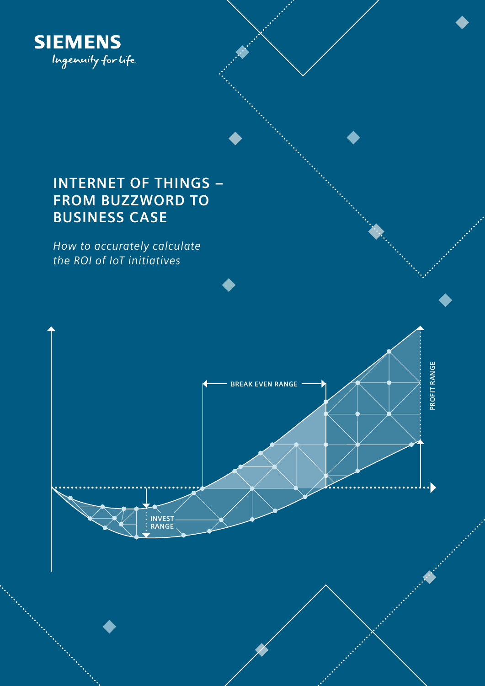

# **INTERNET OF THINGS – FROM BUZZWORD TO BUSINESS CASE**

*How to accurately calculate the ROI of IoT initiatives*

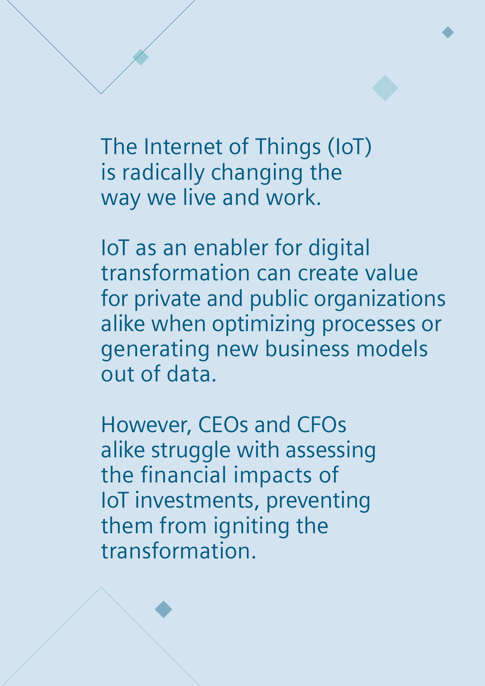The Internet of Things (IoT) is radically changing the way we live and work.

IoT as an enabler for digital transformation can create value for private and public organizations alike when optimizing processes or generating new business models out of data.

However, CEOs and CFOs alike struggle with assessing the financial impacts of IoT investments, preventing them from igniting the transformation.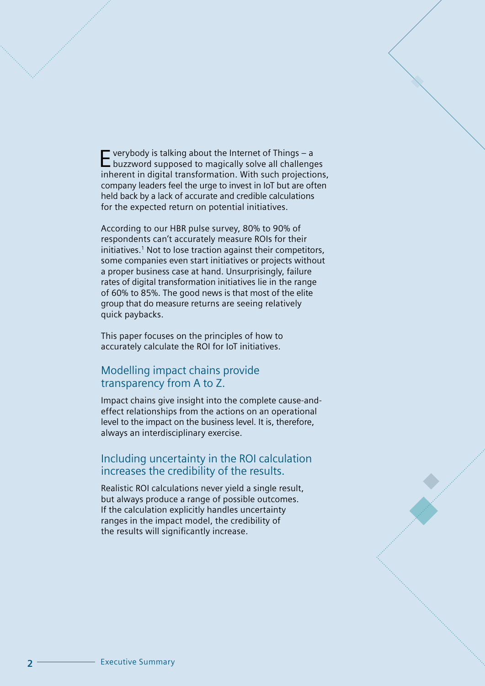Everybody is talking about the Internet of Things – a buzzword supposed to magically solve all challenges inherent in digital transformation. With such projections, company leaders feel the urge to invest in IoT but are often held back by a lack of accurate and credible calculations for the expected return on potential initiatives.

According to our HBR pulse survey, 80% to 90% of respondents can't accurately measure ROIs for their initiatives.<sup>1</sup> Not to lose traction against their competitors, some companies even start initiatives or projects without a proper business case at hand. Unsurprisingly, failure rates of digital transformation initiatives lie in the range of 60% to 85%. The good news is that most of the elite group that do measure returns are seeing relatively quick paybacks.

This paper focuses on the principles of how to accurately calculate the ROI for IoT initiatives.

## Modelling impact chains provide transparency from A to Z.

Impact chains give insight into the complete cause-andeffect relationships from the actions on an operational level to the impact on the business level. It is, therefore, always an interdisciplinary exercise.

### Including uncertainty in the ROI calculation increases the credibility of the results.

Realistic ROI calculations never yield a single result, but always produce a range of possible outcomes. If the calculation explicitly handles uncertainty ranges in the impact model, the credibility of the results will significantly increase.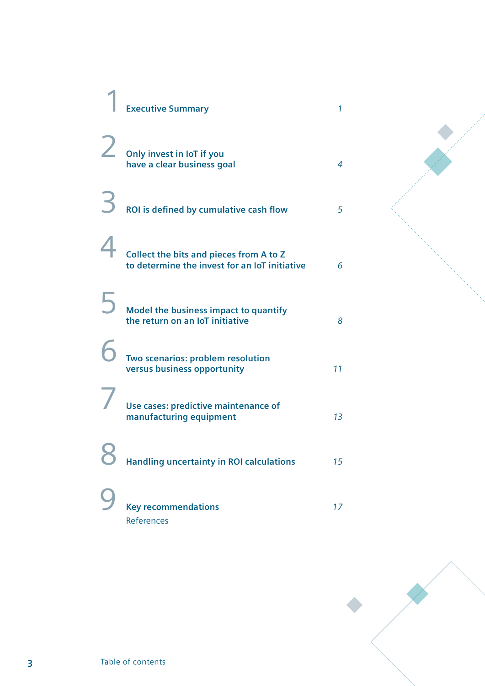| <b>Executive Summary</b>                                                                 | 1              |
|------------------------------------------------------------------------------------------|----------------|
| Only invest in IoT if you<br>have a clear business goal                                  | 4              |
| ROI is defined by cumulative cash flow                                                   | 5              |
| Collect the bits and pieces from A to Z<br>to determine the invest for an IoT initiative | 6              |
| Model the business impact to quantify<br>the return on an IoT initiative                 | 8              |
| Two scenarios: problem resolution<br>versus business opportunity                         | 11             |
| Use cases: predictive maintenance of<br>manufacturing equipment                          | 1 <sub>3</sub> |
| <b>Handling uncertainty in ROI calculations</b>                                          | 15             |
| <b>Key recommendations</b><br>References                                                 | 17             |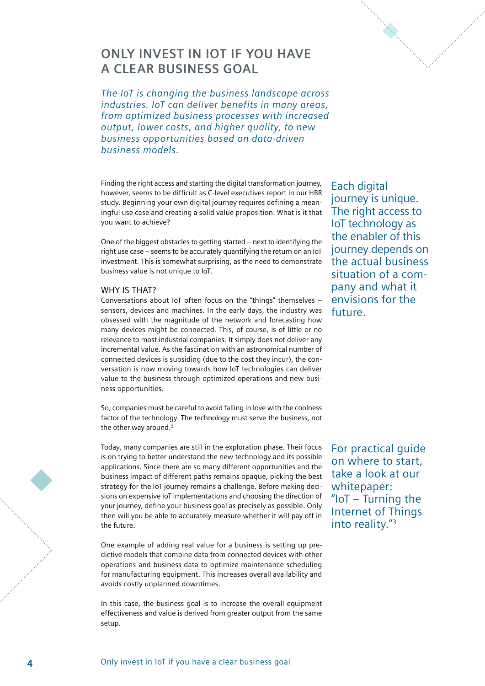## **ONLY INVEST IN IOT IF YOU HAVE A CLEAR BUSINESS GOAL**

*The IoT is changing the business landscape across industries. IoT can deliver benefits in many areas, from optimized business processes with increased output, lower costs, and higher quality, to new business opportunities based on data-driven business models.* 

Finding the right access and starting the digital transformation journey, however, seems to be difficult as C-level executives report in our HBR study. Beginning your own digital journey requires defining a meaningful use case and creating a solid value proposition. What is it that you want to achieve?

One of the biggest obstacles to getting started – next to identifying the right use case – seems to be accurately quantifying the return on an IoT investment. This is somewhat surprising, as the need to demonstrate business value is not unique to IoT.

#### WHY IS THAT?

Conversations about IoT often focus on the "things" themselves – sensors, devices and machines. In the early days, the industry was obsessed with the magnitude of the network and forecasting how many devices might be connected. This, of course, is of little or no relevance to most industrial companies. It simply does not deliver any incremental value. As the fascination with an astronomical number of connected devices is subsiding (due to the cost they incur), the conversation is now moving towards how IoT technologies can deliver value to the business through optimized operations and new business opportunities.

So, companies must be careful to avoid falling in love with the coolness factor of the technology. The technology must serve the business, not the other way around.<sup>2</sup>

Today, many companies are still in the exploration phase. Their focus is on trying to better understand the new technology and its possible applications. Since there are so many different opportunities and the business impact of different paths remains opaque, picking the best strategy for the IoT journey remains a challenge. Before making decisions on expensive IoT implementations and choosing the direction of your journey, define your business goal as precisely as possible. Only then will you be able to accurately measure whether it will pay off in the future.

One example of adding real value for a business is setting up predictive models that combine data from connected devices with other operations and business data to optimize maintenance scheduling for manufacturing equipment. This increases overall availability and avoids costly unplanned downtimes.

In this case, the business goal is to increase the overall equipment effectiveness and value is derived from greater output from the same setup.

journey is unique. The right access to IoT technology as the enabler of this journey depends on the actual business situation of a company and what it envisions for the future.

Each digital

For practical guide on where to start, take a look at our whitepaper: "IoT – Turning the Internet of Things into reality."3

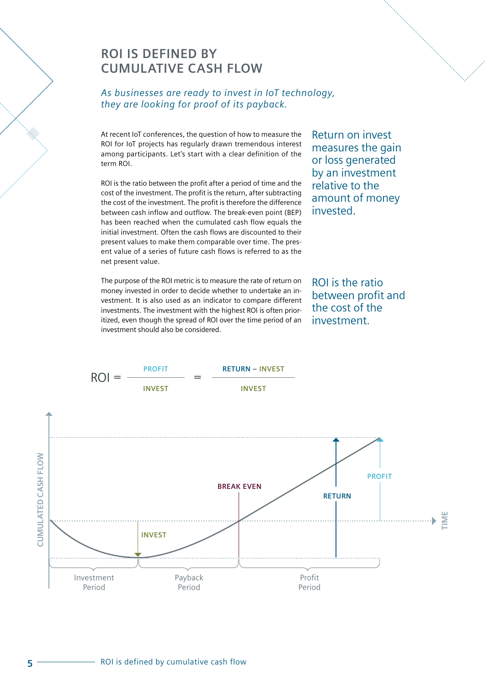# **ROI IS DEFINED BY CUMULATIVE CASH FLOW**

### *As businesses are ready to invest in IoT technology, they are looking for proof of its payback.*

At recent IoT conferences, the question of how to measure the ROI for IoT projects has regularly drawn tremendous interest among participants. Let's start with a clear definition of the term ROI.

ROI is the ratio between the profit after a period of time and the cost of the investment. The profit is the return, after subtracting the cost of the investment. The profit is therefore the difference between cash inflow and outflow. The break-even point (BEP) has been reached when the cumulated cash flow equals the initial investment. Often the cash flows are discounted to their present values to make them comparable over time. The present value of a series of future cash flows is referred to as the net present value.

The purpose of the ROI metric is to measure the rate of return on money invested in order to decide whether to undertake an investment. It is also used as an indicator to compare different investments. The investment with the highest ROI is often prioritized, even though the spread of ROI over the time period of an investment should also be considered.

Return on invest measures the gain or loss generated by an investment relative to the amount of money invested.

ROI is the ratio between profit and the cost of the investment.

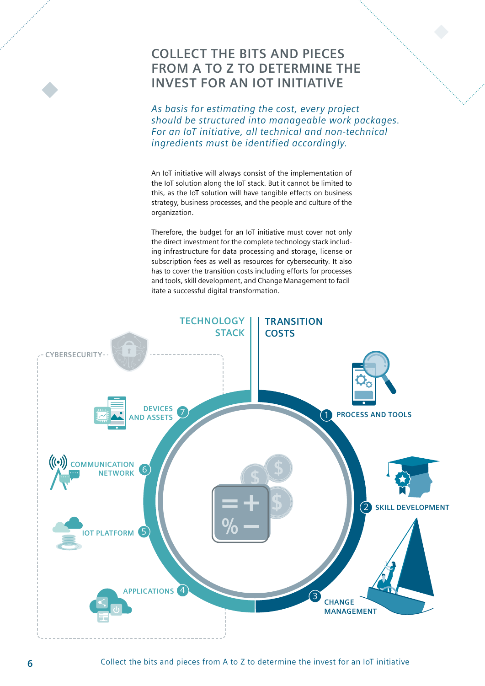## **COLLECT THE BITS AND PIECES FROM A TO Z TO DETERMINE THE INVEST FOR AN IOT INITIATIVE**

*As basis for estimating the cost, every project should be structured into manageable work packages. For an IoT initiative, all technical and non-technical ingredients must be identified accordingly.* 

An IoT initiative will always consist of the implementation of the IoT solution along the IoT stack. But it cannot be limited to this, as the IoT solution will have tangible effects on business strategy, business processes, and the people and culture of the organization.

Therefore, the budget for an IoT initiative must cover not only the direct investment for the complete technology stack including infrastructure for data processing and storage, license or subscription fees as well as resources for cybersecurity. It also has to cover the transition costs including efforts for processes and tools, skill development, and Change Management to facilitate a successful digital transformation.

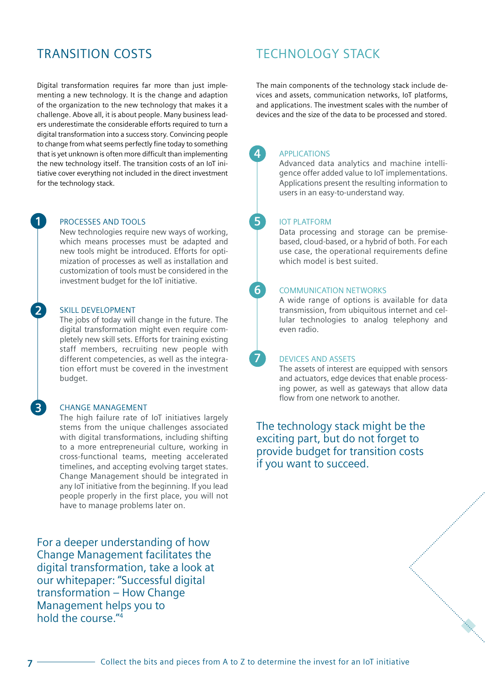## TRANSITION COSTS

Digital transformation requires far more than just implementing a new technology. It is the change and adaption of the organization to the new technology that makes it a challenge. Above all, it is about people. Many business leaders underestimate the considerable efforts required to turn a digital transformation into a success story. Convincing people to change from what seems perfectly fine today to something that is yet unknown is often more difficult than implementing the new technology itself. The transition costs of an IoT initiative cover everything not included in the direct investment for the technology stack.

#### PROCESSES AND TOOLS

New technologies require new ways of working, which means processes must be adapted and new tools might be introduced. Efforts for optimization of processes as well as installation and customization of tools must be considered in the investment budget for the IoT initiative.

#### SKILL DEVELOPMENT

The jobs of today will change in the future. The digital transformation might even require completely new skill sets. Efforts for training existing staff members, recruiting new people with different competencies, as well as the integration effort must be covered in the investment budget.

#### CHANGE MANAGEMENT

The high failure rate of IoT initiatives largely stems from the unique challenges associated with digital transformations, including shifting to a more entrepreneurial culture, working in cross-functional teams, meeting accelerated timelines, and accepting evolving target states. Change Management should be integrated in any IoT initiative from the beginning. If you lead people properly in the first place, you will not have to manage problems later on.

For a deeper understanding of how Change Management facilitates the digital transformation, take a look at our whitepaper: "Successful digital transformation – How Change Management helps you to hold the course  $\frac{m_4}{4}$ 

## TECHNOLOGY STACK

The main components of the technology stack include devices and assets, communication networks, IoT platforms, and applications. The investment scales with the number of devices and the size of the data to be processed and stored.

#### APPLICATIONS

**4**

**5**

**6**

**7**

Advanced data analytics and machine intelligence offer added value to IoT implementations. Applications present the resulting information to users in an easy-to-understand way.

#### IOT PLATFORM

Data processing and storage can be premisebased, cloud-based, or a hybrid of both. For each use case, the operational requirements define which model is best suited.

#### COMMUNICATION NETWORKS

A wide range of options is available for data transmission, from ubiquitous internet and cellular technologies to analog telephony and even radio.

#### DEVICES AND ASSETS

The assets of interest are equipped with sensors and actuators, edge devices that enable processing power, as well as gateways that allow data flow from one network to another.

a karangan karangan di karangan karangan di karangan di karangan di karangan di karangan di karangan di karan<br>Karangan di karangan di karangan di karangan di karangan di karangan di karangan di karangan di karangan di ka

The technology stack might be the exciting part, but do not forget to provide budget for transition costs if you want to succeed.

**3**

**2**

**1**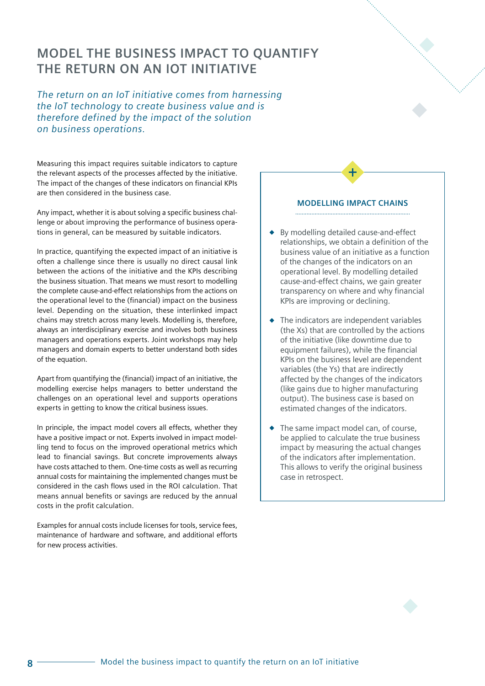## **MODEL THE BUSINESS IMPACT TO QUANTIFY THE RETURN ON AN IOT INITIATIVE**

*The return on an IoT initiative comes from harnessing the IoT technology to create business value and is therefore defined by the impact of the solution on business operations.*

Measuring this impact requires suitable indicators to capture the relevant aspects of the processes affected by the initiative. The impact of the changes of these indicators on financial KPIs are then considered in the business case.

Any impact, whether it is about solving a specific business challenge or about improving the performance of business operations in general, can be measured by suitable indicators.

In practice, quantifying the expected impact of an initiative is often a challenge since there is usually no direct causal link between the actions of the initiative and the KPIs describing the business situation. That means we must resort to modelling the complete cause-and-effect relationships from the actions on the operational level to the (financial) impact on the business level. Depending on the situation, these interlinked impact chains may stretch across many levels. Modelling is, therefore, always an interdisciplinary exercise and involves both business managers and operations experts. Joint workshops may help managers and domain experts to better understand both sides of the equation.

Apart from quantifying the (financial) impact of an initiative, the modelling exercise helps managers to better understand the challenges on an operational level and supports operations experts in getting to know the critical business issues.

In principle, the impact model covers all effects, whether they have a positive impact or not. Experts involved in impact modelling tend to focus on the improved operational metrics which lead to financial savings. But concrete improvements always have costs attached to them. One-time costs as well as recurring annual costs for maintaining the implemented changes must be considered in the cash flows used in the ROI calculation. That means annual benefits or savings are reduced by the annual costs in the profit calculation.

Examples for annual costs include licenses for tools, service fees, maintenance of hardware and software, and additional efforts for new process activities.

#### **MODELLING IMPACT CHAINS**

- By modelling detailed cause-and-effect relationships, we obtain a definition of the business value of an initiative as a function of the changes of the indicators on an operational level. By modelling detailed cause-and-effect chains, we gain greater transparency on where and why financial KPIs are improving or declining.
- $\triangle$  The indicators are independent variables (the Xs) that are controlled by the actions of the initiative (like downtime due to equipment failures), while the financial KPIs on the business level are dependent variables (the Ys) that are indirectly affected by the changes of the indicators (like gains due to higher manufacturing output). The business case is based on estimated changes of the indicators.
- The same impact model can, of course, be applied to calculate the true business impact by measuring the actual changes of the indicators after implementation. This allows to verify the original business case in retrospect.

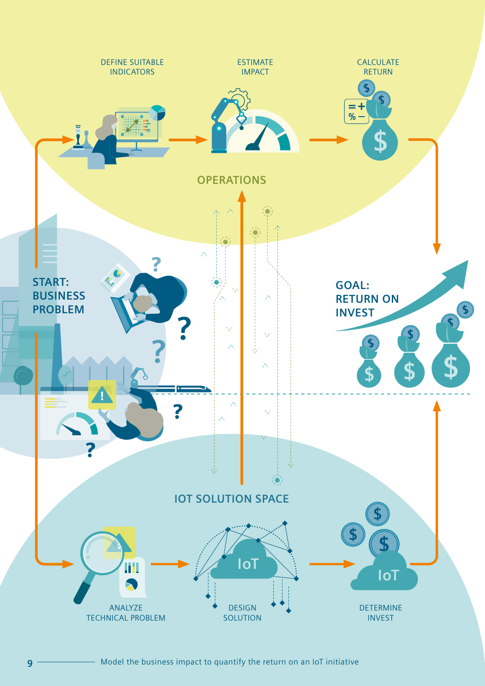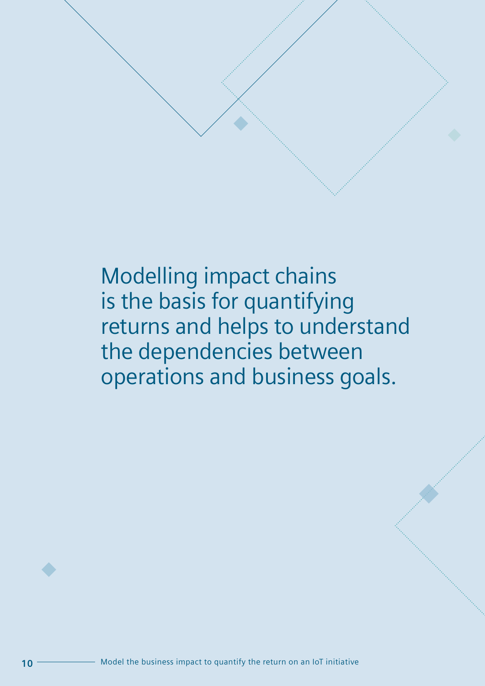Modelling impact chains is the basis for quantifying returns and helps to understand the dependencies between operations and business goals.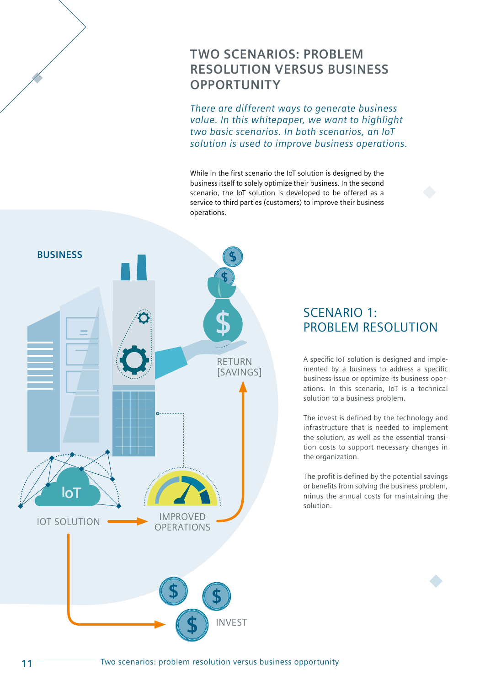# **TWO SCENARIOS: PROBLEM RESOLUTION VERSUS BUSINESS OPPORTUNITY**

*There are different ways to generate business value. In this whitepaper, we want to highlight two basic scenarios. In both scenarios, an IoT solution is used to improve business operations.*

While in the first scenario the IoT solution is designed by the business itself to solely optimize their business. In the second scenario, the IoT solution is developed to be offered as a service to third parties (customers) to improve their business operations.



## SCENARIO 1: PROBLEM RESOLUTION

A specific IoT solution is designed and implemented by a business to address a specific business issue or optimize its business operations. In this scenario, IoT is a technical solution to a business problem.

The invest is defined by the technology and infrastructure that is needed to implement the solution, as well as the essential transition costs to support necessary changes in the organization.

The profit is defined by the potential savings or benefits from solving the business problem, minus the annual costs for maintaining the solution.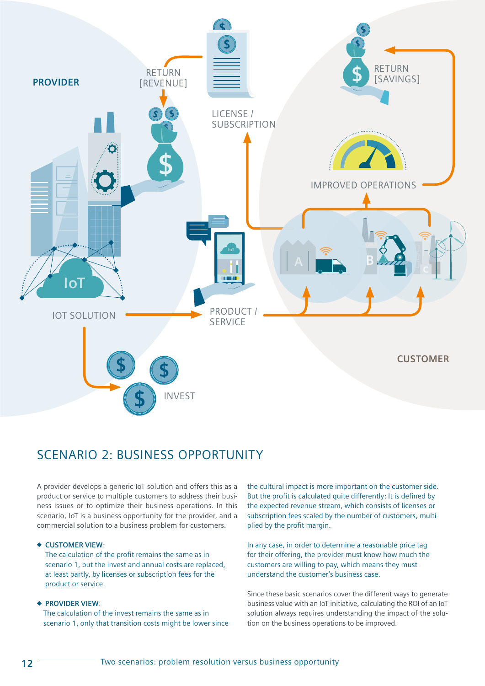

## SCENARIO 2: BUSINESS OPPORTUNITY

A provider develops a generic IoT solution and offers this as a product or service to multiple customers to address their business issues or to optimize their business operations. In this scenario, IoT is a business opportunity for the provider, and a commercial solution to a business problem for customers.

#### **CUSTOMER VIEW**:

The calculation of the profit remains the same as in scenario 1, but the invest and annual costs are replaced, at least partly, by licenses or subscription fees for the product or service.

#### **PROVIDER VIEW**:

The calculation of the invest remains the same as in scenario 1, only that transition costs might be lower since the cultural impact is more important on the customer side. But the profit is calculated quite differently: It is defined by the expected revenue stream, which consists of licenses or subscription fees scaled by the number of customers, multiplied by the profit margin.

In any case, in order to determine a reasonable price tag for their offering, the provider must know how much the customers are willing to pay, which means they must understand the customer's business case.

Since these basic scenarios cover the different ways to generate business value with an IoT initiative, calculating the ROI of an IoT solution always requires understanding the impact of the solution on the business operations to be improved.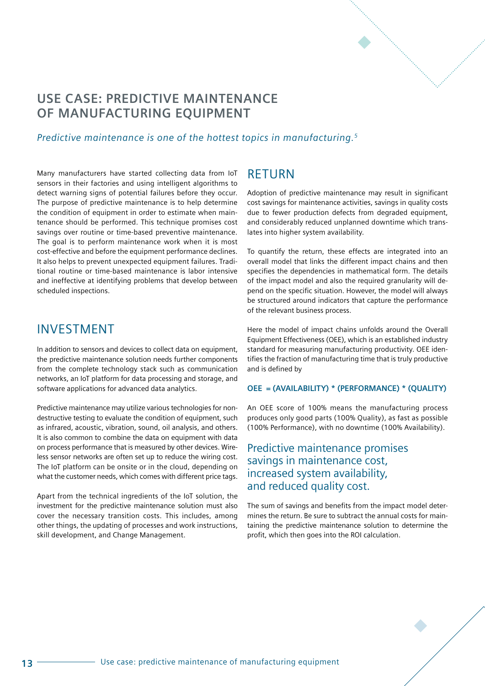

# **USE CASE: PREDICTIVE MAINTENANCE OF MANUFACTURING EQUIPMENT**

### *Predictive maintenance is one of the hottest topics in manufacturing.5*

Many manufacturers have started collecting data from IoT sensors in their factories and using intelligent algorithms to detect warning signs of potential failures before they occur. The purpose of predictive maintenance is to help determine the condition of equipment in order to estimate when maintenance should be performed. This technique promises cost savings over routine or time-based preventive maintenance. The goal is to perform maintenance work when it is most cost-effective and before the equipment performance declines. It also helps to prevent unexpected equipment failures. Traditional routine or time-based maintenance is labor intensive and ineffective at identifying problems that develop between scheduled inspections.

## INVESTMENT

In addition to sensors and devices to collect data on equipment, the predictive maintenance solution needs further components from the complete technology stack such as communication networks, an IoT platform for data processing and storage, and software applications for advanced data analytics.

Predictive maintenance may utilize various technologies for nondestructive testing to evaluate the condition of equipment, such as infrared, acoustic, vibration, sound, oil analysis, and others. It is also common to combine the data on equipment with data on process performance that is measured by other devices. Wireless sensor networks are often set up to reduce the wiring cost. The IoT platform can be onsite or in the cloud, depending on what the customer needs, which comes with different price tags.

Apart from the technical ingredients of the IoT solution, the investment for the predictive maintenance solution must also cover the necessary transition costs. This includes, among other things, the updating of processes and work instructions, skill development, and Change Management.

## RETURN

Adoption of predictive maintenance may result in significant cost savings for maintenance activities, savings in quality costs due to fewer production defects from degraded equipment, and considerably reduced unplanned downtime which translates into higher system availability.

To quantify the return, these effects are integrated into an overall model that links the different impact chains and then specifies the dependencies in mathematical form. The details of the impact model and also the required granularity will depend on the specific situation. However, the model will always be structured around indicators that capture the performance of the relevant business process.

Here the model of impact chains unfolds around the Overall Equipment Effectiveness (OEE), which is an established industry standard for measuring manufacturing productivity. OEE identifies the fraction of manufacturing time that is truly productive and is defined by

#### **OEE = (AVAILABILITY) \* (PERFORMANCE) \* (QUALITY)**

An OEE score of 100% means the manufacturing process produces only good parts (100% Quality), as fast as possible (100% Performance), with no downtime (100% Availability).

## Predictive maintenance promises savings in maintenance cost, increased system availability, and reduced quality cost.

The sum of savings and benefits from the impact model determines the return. Be sure to subtract the annual costs for maintaining the predictive maintenance solution to determine the profit, which then goes into the ROI calculation.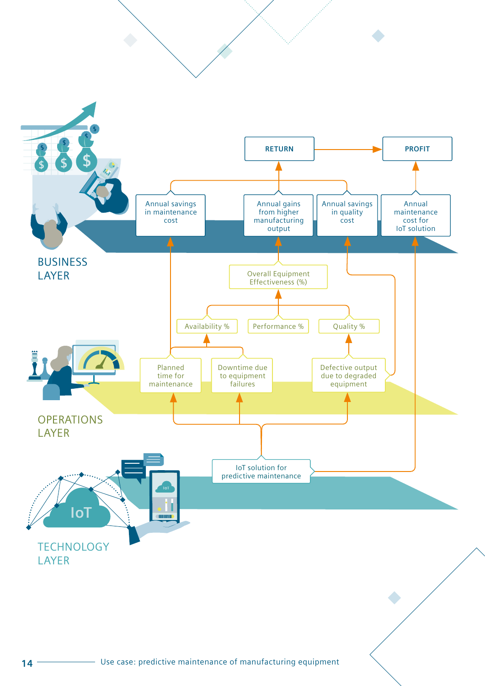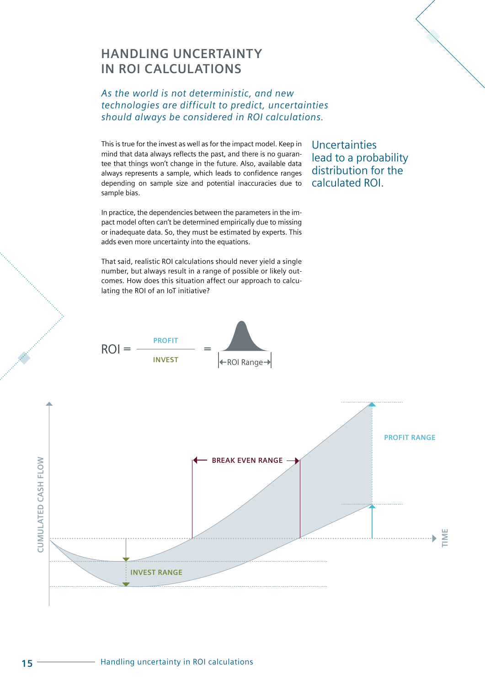## **HANDLING UNCERTAINTY IN ROI CALCULATIONS**

### *As the world is not deterministic, and new technologies are difficult to predict, uncertainties should always be considered in ROI calculations.*

This is true for the invest as well as for the impact model. Keep in mind that data always reflects the past, and there is no guarantee that things won't change in the future. Also, available data always represents a sample, which leads to confidence ranges depending on sample size and potential inaccuracies due to sample bias.

In practice, the dependencies between the parameters in the impact model often can't be determined empirically due to missing or inadequate data. So, they must be estimated by experts. This adds even more uncertainty into the equations.

That said, realistic ROI calculations should never yield a single number, but always result in a range of possible or likely outcomes. How does this situation affect our approach to calculating the ROI of an IoT initiative?



**Uncertainties** lead to a probability distribution for the calculated ROI.

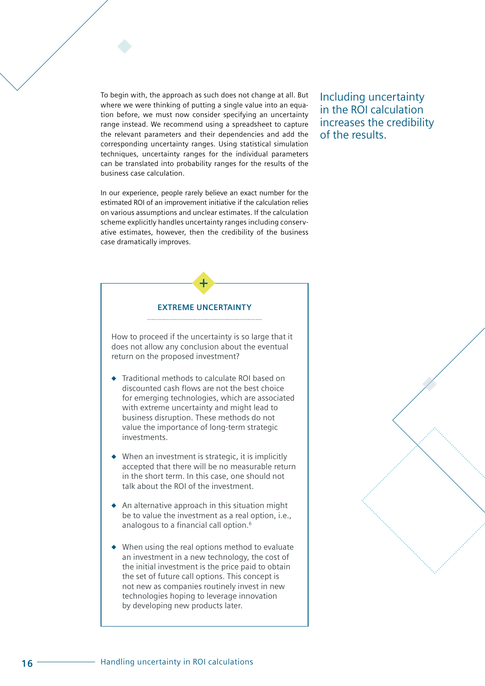To begin with, the approach as such does not change at all. But where we were thinking of putting a single value into an equation before, we must now consider specifying an uncertainty range instead. We recommend using a spreadsheet to capture the relevant parameters and their dependencies and add the corresponding uncertainty ranges. Using statistical simulation techniques, uncertainty ranges for the individual parameters can be translated into probability ranges for the results of the business case calculation.

In our experience, people rarely believe an exact number for the estimated ROI of an improvement initiative if the calculation relies on various assumptions and unclear estimates. If the calculation scheme explicitly handles uncertainty ranges including conservative estimates, however, then the credibility of the business case dramatically improves.

Including uncertainty in the ROI calculation increases the credibility of the results.

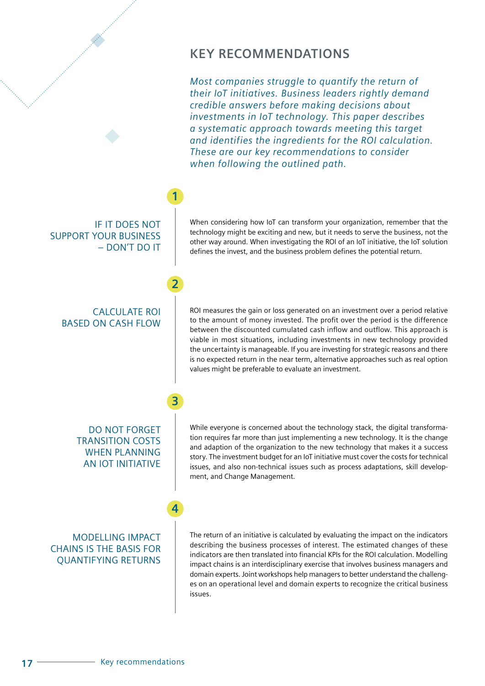## **KEY RECOMMENDATIONS**

*Most companies struggle to quantify the return of their IoT initiatives. Business leaders rightly demand credible answers before making decisions about investments in IoT technology. This paper describes a systematic approach towards meeting this target and identifies the ingredients for the ROI calculation. These are our key recommendations to consider when following the outlined path.* 

### IF IT DOES NOT SUPPORT YOUR BUSINESS – DON'T DO IT

**1**

**2**

**3**

**4**

### CALCULATE ROI BASED ON CASH FLOW

When considering how IoT can transform your organization, remember that the technology might be exciting and new, but it needs to serve the business, not the other way around. When investigating the ROI of an IoT initiative, the IoT solution defines the invest, and the business problem defines the potential return.

ROI measures the gain or loss generated on an investment over a period relative to the amount of money invested. The profit over the period is the difference between the discounted cumulated cash inflow and outflow. This approach is viable in most situations, including investments in new technology provided the uncertainty is manageable. If you are investing for strategic reasons and there is no expected return in the near term, alternative approaches such as real option values might be preferable to evaluate an investment.

### DO NOT FORGET TRANSITION COSTS WHEN PLANNING AN IOT INITIATIVE

MODELLING IMPACT CHAINS IS THE BASIS FOR QUANTIFYING RETURNS While everyone is concerned about the technology stack, the digital transformation requires far more than just implementing a new technology. It is the change and adaption of the organization to the new technology that makes it a success story. The investment budget for an IoT initiative must cover the costs for technical issues, and also non-technical issues such as process adaptations, skill development, and Change Management.

#### The return of an initiative is calculated by evaluating the impact on the indicators describing the business processes of interest. The estimated changes of these indicators are then translated into financial KPIs for the ROI calculation. Modelling impact chains is an interdisciplinary exercise that involves business managers and domain experts. Joint workshops help managers to better understand the challenges on an operational level and domain experts to recognize the critical business issues.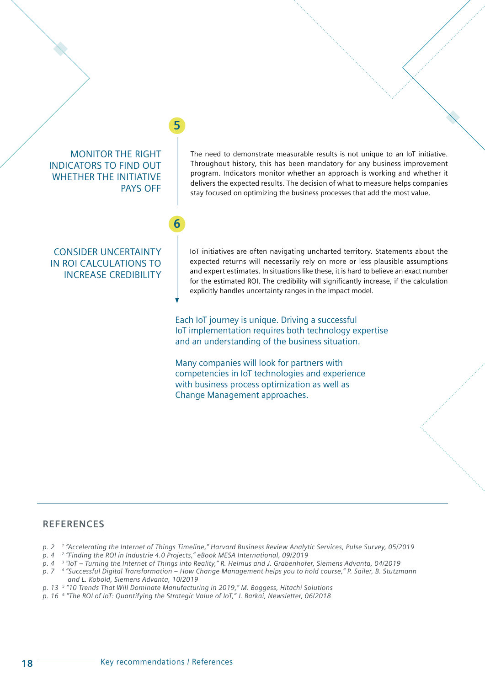

### **REFERENCES**

- *p. 2 1 "Accelerating the Internet of Things Timeline," Harvard Business Review Analytic Services, Pulse Survey, 05/2019*
- *p. 4 2 "Finding the ROI in Industrie 4.0 Projects," eBook MESA International, 09/2019*
- *p. 4 3 "IoT Turning the Internet of Things into Reality," R. Helmus and J. Grabenhofer, Siemens Advanta, 04/2019*
- *p. 7 4 "Successful Digital Transformation How Change Management helps you to hold course," P. Sailer, B. Stutzmann and L. Kobold, Siemens Advanta, 10/2019*
- *p. 13 5 "10 Trends That Will Dominate Manufacturing in 2019," M. Boggess, Hitachi Solutions*
- *p. 16 6 "The ROI of IoT: Quantifying the Strategic Value of IoT," J. Barkai, Newsletter, 06/2018*